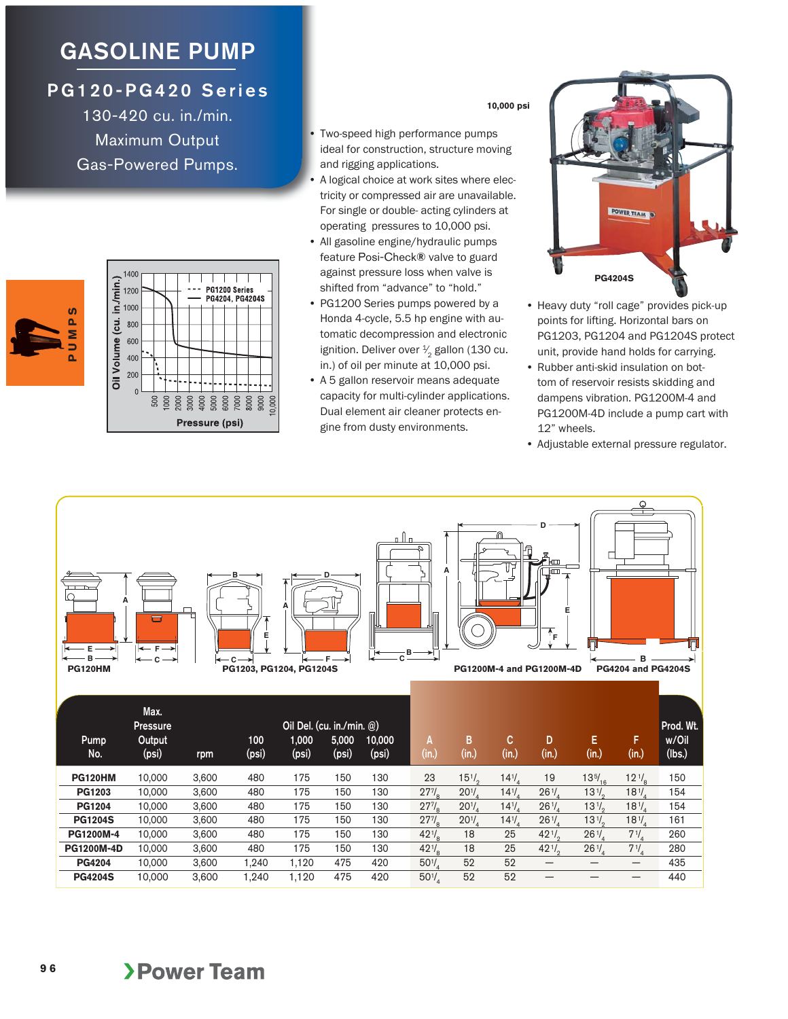# **GASOLINE PUMP**

# **PG120-PG420 Series**

130-420 cu. in./min. Maximum Output Gas-Powered Pumps.

|  | 1400                                                                                |  |  |                |  | PG1200 Series | PG4204. PG4204S |  |
|--|-------------------------------------------------------------------------------------|--|--|----------------|--|---------------|-----------------|--|
|  | $\begin{array}{c} \n\text{Oil} \text{ Volume (cu. in/min.)} \\ \hline\n\end{array}$ |  |  |                |  |               |                 |  |
|  | $\overline{0}$                                                                      |  |  |                |  |               |                 |  |
|  |                                                                                     |  |  | Pressure (psi) |  |               |                 |  |

**PUMPS**

ທ  $\mathbf{a}$ Σ Ь Ō.

### **10,000 psi**

- Two-speed high performance pumps ideal for construction, structure moving and rigging applications.
- A logical choice at work sites where electricity or compressed air are unavailable. For single or double- acting cylinders at operating pressures to 10,000 psi.
- All gasoline engine/hydraulic pumps feature Posi-Check**®** valve to guard against pressure loss when valve is shifted from "advance" to "hold."
- PG1200 Series pumps powered by a Honda 4-cycle, 5.5 hp engine with automatic decompression and electronic ignition. Deliver over  $\frac{1}{2}$  gallon (130 cu. in.) of oil per minute at 10,000 psi.
- A 5 gallon reservoir means adequate capacity for multi-cylinder applications. Dual element air cleaner protects engine from dusty environments.



- Heavy duty "roll cage" provides pick-up points for lifting. Horizontal bars on PG1203, PG1204 and PG1204S protect unit, provide hand holds for carrying.
- Rubber anti-skid insulation on bottom of reservoir resists skidding and dampens vibration. PG1200M-4 and PG1200M-4D include a pump cart with 12" wheels.
- Adjustable external pressure regulator.



**9 6**